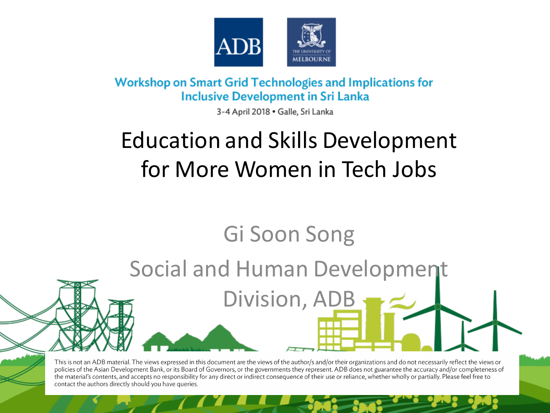

**Workshop on Smart Grid Technologies and Implications for Inclusive Development in Sri Lanka** 

3-4 April 2018 · Galle, Sri Lanka

## Education and Skills Development for More Women in Tech Jobs

## Gi Soon Song

Social and Human Development

Division, AD

This is not an ADB material. The views expressed in this document are the views of the author/s and/or their organizations and do not necessarily reflect the views or policies of the Asian Development Bank, or its Board of Governors, or the governments they represent. ADB does not guarantee the accuracy and/or completeness of the material's contents, and accepts no responsibility for any direct or indirect consequence of their use or reliance, whether wholly or partially. Please feel free to contact the authors directly should you have queries.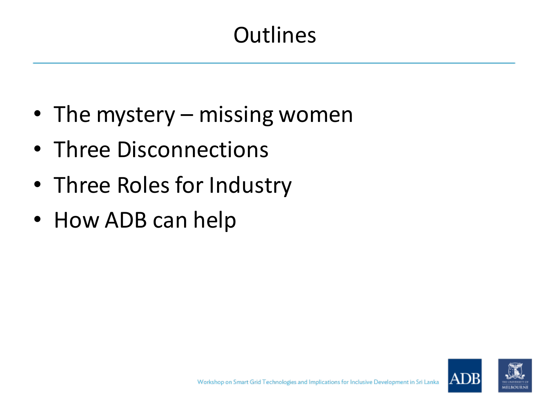### **Outlines**

- The mystery missing women
- Three Disconnections
- Three Roles for Industry
- How ADB can help

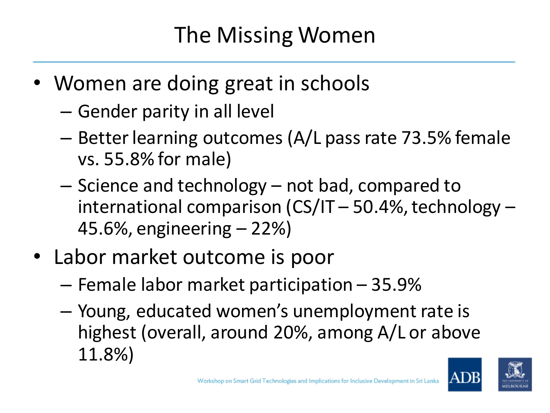### The Missing Women

- Women are doing great in schools
	- Gender parity in all level
	- Better learning outcomes (A/L pass rate 73.5% female vs. 55.8% for male)
	- Science and technology not bad, compared to international comparison (CS/IT – 50.4%, technology – 45.6%, engineering – 22%)
- Labor market outcome is poor
	- Female labor market participation 35.9%
	- Young, educated women's unemployment rate is highest (overall, around 20%, among A/L or above 11.8%)

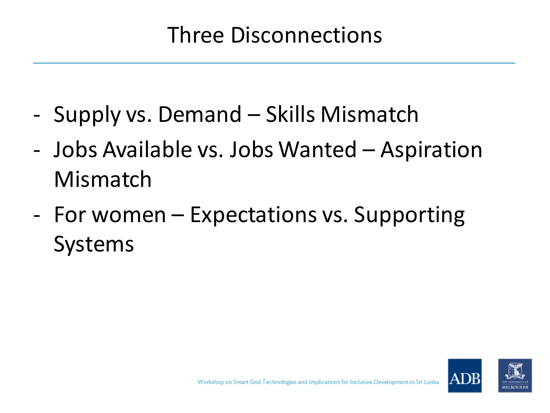#### Three Disconnections

- Supply vs. Demand Skills Mismatch
- Jobs Available vs. Jobs Wanted Aspiration Mismatch
- For women Expectations vs. Supporting Systems

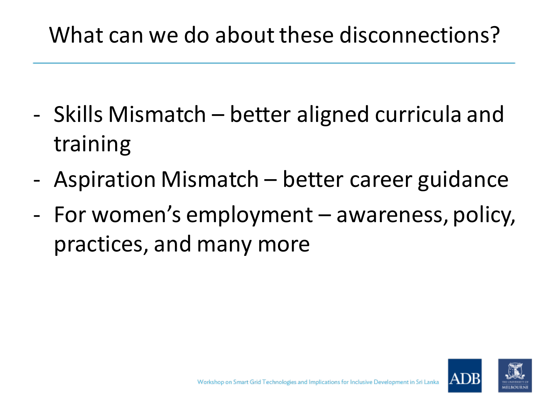#### What can we do about these disconnections?

- Skills Mismatch better aligned curricula and training
- Aspiration Mismatch better career guidance
- For women's employment awareness, policy, practices, and many more

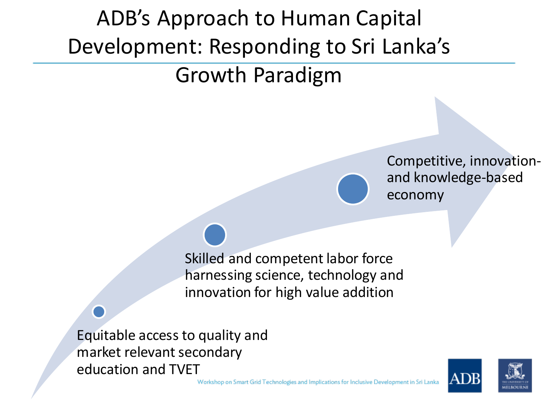# ADB's Approach to Human Capital Development: Responding to Sri Lanka's

#### Growth Paradigm

Competitive, innovationand knowledge-based economy

Skilled and competent labor force harnessing science, technology and innovation for high value addition

Equitable access to quality and market relevant secondary education and TVET



Workshop on Smart Grid Technologies and Implications for Inclusive Development in Sri Lanka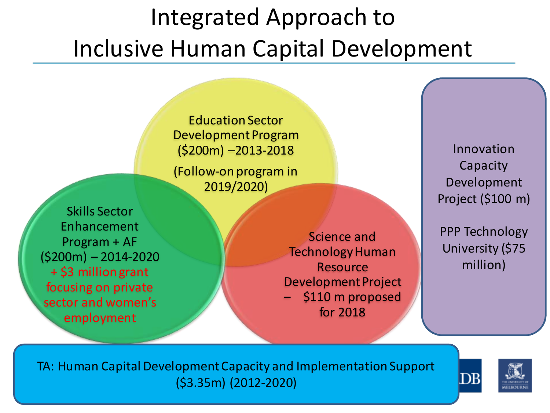# Integrated Approach to Inclusive Human Capital Development

Education Sector Development Program (\$200m) –2013-2018 (Follow-on program in 2019/2020)

Skills Sector Enhancement Program + AF (\$200m) – 2014-2020 + \$3 million grant focusing on private sector and women's employment

Science and Technology Human Resource Development Project – \$110 m proposed for 2018

Innovation Capacity Development Project (\$100 m)

PPP Technology University (\$75 million)

TA: Human Capital Development Capacity and Implementation Support (\$3.35m) (2012-2020)